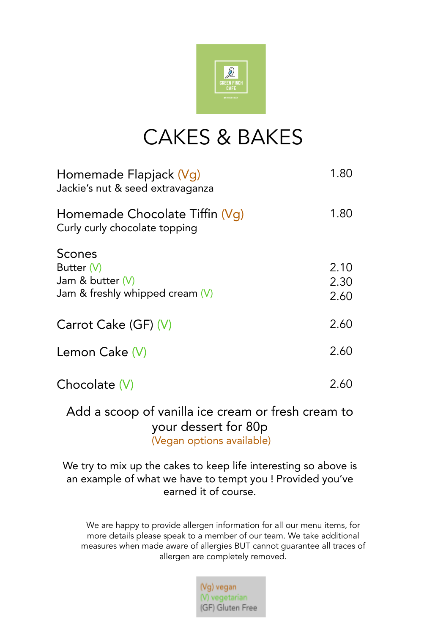

## CAKES & BAKES

| Homemade Flapjack (Vg)<br>Jackie's nut & seed extravaganza                      | 1.80                 |
|---------------------------------------------------------------------------------|----------------------|
| Homemade Chocolate Tiffin (Vq)<br>Curly curly chocolate topping                 | 1.80                 |
| Scones<br>Butter (V)<br>Jam & butter $(V)$<br>Jam & freshly whipped cream $(V)$ | 2.10<br>2.30<br>2.60 |
| Carrot Cake (GF) (V)                                                            | 2.60                 |
| Lemon Cake (V)                                                                  | 2.60                 |
| Chocolate $(V)$                                                                 | 2.60                 |
|                                                                                 |                      |

Add a scoop of vanilla ice cream or fresh cream to your dessert for 80p (Vegan options available)

We try to mix up the cakes to keep life interesting so above is an example of what we have to tempt you ! Provided you've earned it of course.

We are happy to provide allergen information for all our menu items, for more details please speak to a member of our team. We take additional measures when made aware of allergies BUT cannot guarantee all traces of allergen are completely removed.